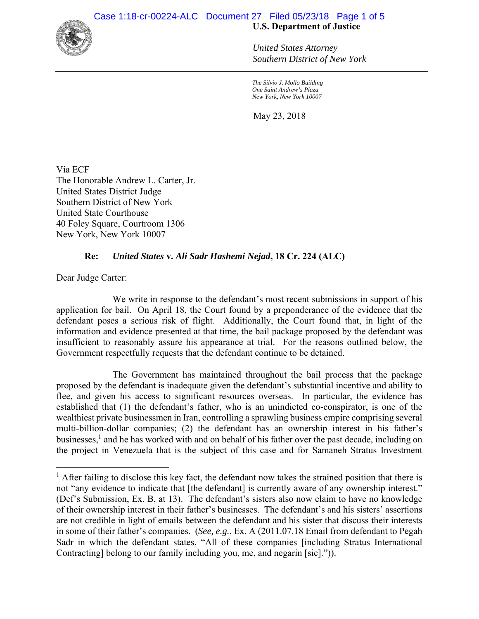

*United States Attorney Southern District of New York* 

*The Silvio J. Mollo Building One Saint Andrew's Plaza New York, New York 10007*

May 23, 2018

Via ECF The Honorable Andrew L. Carter, Jr. United States District Judge Southern District of New York United State Courthouse 40 Foley Square, Courtroom 1306 New York, New York 10007

## **Re:** *United States* **v.** *Ali Sadr Hashemi Nejad***, 18 Cr. 224 (ALC)**

Dear Judge Carter:

 $\overline{a}$ 

We write in response to the defendant's most recent submissions in support of his application for bail. On April 18, the Court found by a preponderance of the evidence that the defendant poses a serious risk of flight. Additionally, the Court found that, in light of the information and evidence presented at that time, the bail package proposed by the defendant was insufficient to reasonably assure his appearance at trial. For the reasons outlined below, the Government respectfully requests that the defendant continue to be detained.

The Government has maintained throughout the bail process that the package proposed by the defendant is inadequate given the defendant's substantial incentive and ability to flee, and given his access to significant resources overseas. In particular, the evidence has established that (1) the defendant's father, who is an unindicted co-conspirator, is one of the wealthiest private businessmen in Iran, controlling a sprawling business empire comprising several multi-billion-dollar companies; (2) the defendant has an ownership interest in his father's businesses,<sup>1</sup> and he has worked with and on behalf of his father over the past decade, including on the project in Venezuela that is the subject of this case and for Samaneh Stratus Investment

<sup>&</sup>lt;sup>1</sup> After failing to disclose this key fact, the defendant now takes the strained position that there is not "any evidence to indicate that [the defendant] is currently aware of any ownership interest." (Def's Submission, Ex. B, at 13). The defendant's sisters also now claim to have no knowledge of their ownership interest in their father's businesses. The defendant's and his sisters' assertions are not credible in light of emails between the defendant and his sister that discuss their interests in some of their father's companies. (*See, e.g.*, Ex. A (2011.07.18 Email from defendant to Pegah Sadr in which the defendant states, "All of these companies [including Stratus International Contracting] belong to our family including you, me, and negarin [sic].")).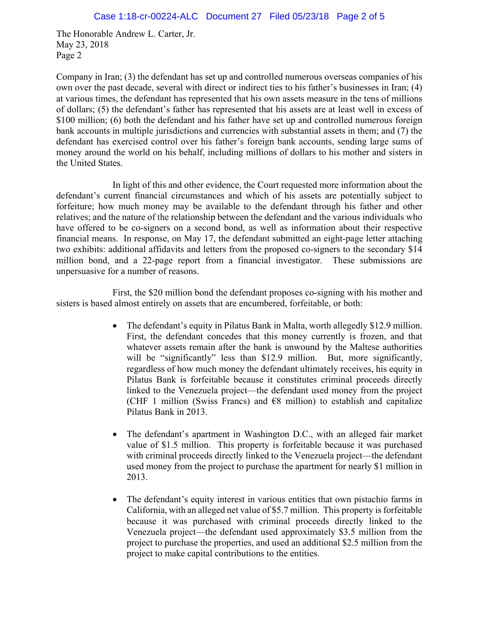Company in Iran; (3) the defendant has set up and controlled numerous overseas companies of his own over the past decade, several with direct or indirect ties to his father's businesses in Iran; (4) at various times, the defendant has represented that his own assets measure in the tens of millions of dollars; (5) the defendant's father has represented that his assets are at least well in excess of \$100 million; (6) both the defendant and his father have set up and controlled numerous foreign bank accounts in multiple jurisdictions and currencies with substantial assets in them; and (7) the defendant has exercised control over his father's foreign bank accounts, sending large sums of money around the world on his behalf, including millions of dollars to his mother and sisters in the United States.

In light of this and other evidence, the Court requested more information about the defendant's current financial circumstances and which of his assets are potentially subject to forfeiture; how much money may be available to the defendant through his father and other relatives; and the nature of the relationship between the defendant and the various individuals who have offered to be co-signers on a second bond, as well as information about their respective financial means. In response, on May 17, the defendant submitted an eight-page letter attaching two exhibits: additional affidavits and letters from the proposed co-signers to the secondary \$14 million bond, and a 22-page report from a financial investigator. These submissions are unpersuasive for a number of reasons.

First, the \$20 million bond the defendant proposes co-signing with his mother and sisters is based almost entirely on assets that are encumbered, forfeitable, or both:

- The defendant's equity in Pilatus Bank in Malta, worth allegedly \$12.9 million. First, the defendant concedes that this money currently is frozen, and that whatever assets remain after the bank is unwound by the Maltese authorities will be "significantly" less than \$12.9 million. But, more significantly, regardless of how much money the defendant ultimately receives, his equity in Pilatus Bank is forfeitable because it constitutes criminal proceeds directly linked to the Venezuela project—the defendant used money from the project (CHF 1 million (Swiss Francs) and  $\epsilon$ 8 million) to establish and capitalize Pilatus Bank in 2013.
- The defendant's apartment in Washington D.C., with an alleged fair market value of \$1.5 million. This property is forfeitable because it was purchased with criminal proceeds directly linked to the Venezuela project—the defendant used money from the project to purchase the apartment for nearly \$1 million in 2013.
- The defendant's equity interest in various entities that own pistachio farms in California, with an alleged net value of \$5.7 million. This property is forfeitable because it was purchased with criminal proceeds directly linked to the Venezuela project—the defendant used approximately \$3.5 million from the project to purchase the properties, and used an additional \$2.5 million from the project to make capital contributions to the entities.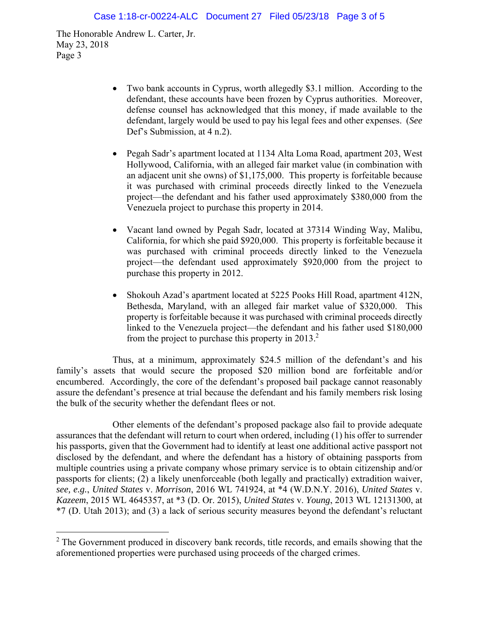$\overline{a}$ 

- Two bank accounts in Cyprus, worth allegedly \$3.1 million. According to the defendant, these accounts have been frozen by Cyprus authorities. Moreover, defense counsel has acknowledged that this money, if made available to the defendant, largely would be used to pay his legal fees and other expenses. (*See* Def's Submission, at 4 n.2).
- Pegah Sadr's apartment located at 1134 Alta Loma Road, apartment 203, West Hollywood, California, with an alleged fair market value (in combination with an adjacent unit she owns) of \$1,175,000. This property is forfeitable because it was purchased with criminal proceeds directly linked to the Venezuela project—the defendant and his father used approximately \$380,000 from the Venezuela project to purchase this property in 2014.
- Vacant land owned by Pegah Sadr, located at 37314 Winding Way, Malibu, California, for which she paid \$920,000. This property is forfeitable because it was purchased with criminal proceeds directly linked to the Venezuela project—the defendant used approximately \$920,000 from the project to purchase this property in 2012.
- Shokouh Azad's apartment located at 5225 Pooks Hill Road, apartment 412N, Bethesda, Maryland, with an alleged fair market value of \$320,000. This property is forfeitable because it was purchased with criminal proceeds directly linked to the Venezuela project—the defendant and his father used \$180,000 from the project to purchase this property in  $2013.<sup>2</sup>$

Thus, at a minimum, approximately \$24.5 million of the defendant's and his family's assets that would secure the proposed \$20 million bond are forfeitable and/or encumbered. Accordingly, the core of the defendant's proposed bail package cannot reasonably assure the defendant's presence at trial because the defendant and his family members risk losing the bulk of the security whether the defendant flees or not.

Other elements of the defendant's proposed package also fail to provide adequate assurances that the defendant will return to court when ordered, including (1) his offer to surrender his passports, given that the Government had to identify at least one additional active passport not disclosed by the defendant, and where the defendant has a history of obtaining passports from multiple countries using a private company whose primary service is to obtain citizenship and/or passports for clients; (2) a likely unenforceable (both legally and practically) extradition waiver, *see, e.g.*, *United States* v. *Morrison*, 2016 WL 741924, at \*4 (W.D.N.Y. 2016), *United States* v. *Kazeem*, 2015 WL 4645357, at \*3 (D. Or. 2015), *United States* v. *Young*, 2013 WL 12131300, at \*7 (D. Utah 2013); and (3) a lack of serious security measures beyond the defendant's reluctant

 $2$  The Government produced in discovery bank records, title records, and emails showing that the aforementioned properties were purchased using proceeds of the charged crimes.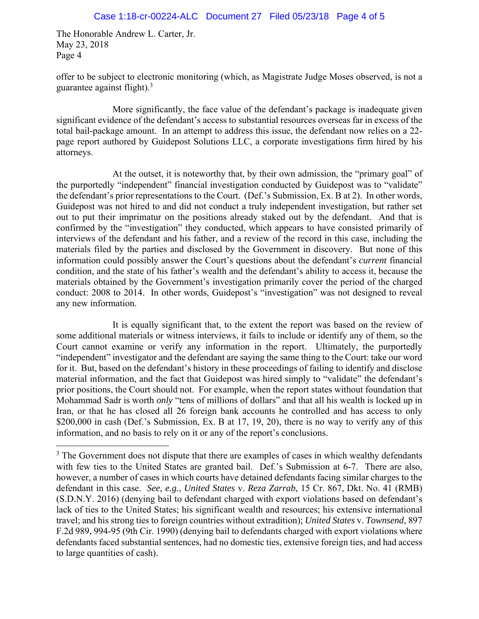$\overline{a}$ 

offer to be subject to electronic monitoring (which, as Magistrate Judge Moses observed, is not a guarantee against flight). $3$ 

More significantly, the face value of the defendant's package is inadequate given significant evidence of the defendant's access to substantial resources overseas far in excess of the total bail-package amount. In an attempt to address this issue, the defendant now relies on a 22 page report authored by Guidepost Solutions LLC, a corporate investigations firm hired by his attorneys.

At the outset, it is noteworthy that, by their own admission, the "primary goal" of the purportedly "independent" financial investigation conducted by Guidepost was to "validate" the defendant's prior representations to the Court. (Def.'s Submission, Ex. B at 2). In other words, Guidepost was not hired to and did not conduct a truly independent investigation, but rather set out to put their imprimatur on the positions already staked out by the defendant. And that is confirmed by the "investigation" they conducted, which appears to have consisted primarily of interviews of the defendant and his father, and a review of the record in this case, including the materials filed by the parties and disclosed by the Government in discovery. But none of this information could possibly answer the Court's questions about the defendant's *current* financial condition, and the state of his father's wealth and the defendant's ability to access it, because the materials obtained by the Government's investigation primarily cover the period of the charged conduct: 2008 to 2014. In other words, Guidepost's "investigation" was not designed to reveal any new information.

It is equally significant that, to the extent the report was based on the review of some additional materials or witness interviews, it fails to include or identify any of them, so the Court cannot examine or verify any information in the report. Ultimately, the purportedly "independent" investigator and the defendant are saying the same thing to the Court: take our word for it. But, based on the defendant's history in these proceedings of failing to identify and disclose material information, and the fact that Guidepost was hired simply to "validate" the defendant's prior positions, the Court should not. For example, when the report states without foundation that Mohammad Sadr is worth *only* "tens of millions of dollars" and that all his wealth is locked up in Iran, or that he has closed all 26 foreign bank accounts he controlled and has access to only \$200,000 in cash (Def.'s Submission, Ex. B at 17, 19, 20), there is no way to verify any of this information, and no basis to rely on it or any of the report's conclusions.

 $3$  The Government does not dispute that there are examples of cases in which wealthy defendants with few ties to the United States are granted bail. Def.'s Submission at 6-7. There are also, however, a number of cases in which courts have detained defendants facing similar charges to the defendant in this case. *See, e.g.*, *United States* v. *Reza Zarrab*, 15 Cr. 867, Dkt. No. 41 (RMB) (S.D.N.Y. 2016) (denying bail to defendant charged with export violations based on defendant's lack of ties to the United States; his significant wealth and resources; his extensive international travel; and his strong ties to foreign countries without extradition); *United States* v. *Townsend*, 897 F.2d 989, 994-95 (9th Cir. 1990) (denying bail to defendants charged with export violations where defendants faced substantial sentences, had no domestic ties, extensive foreign ties, and had access to large quantities of cash).